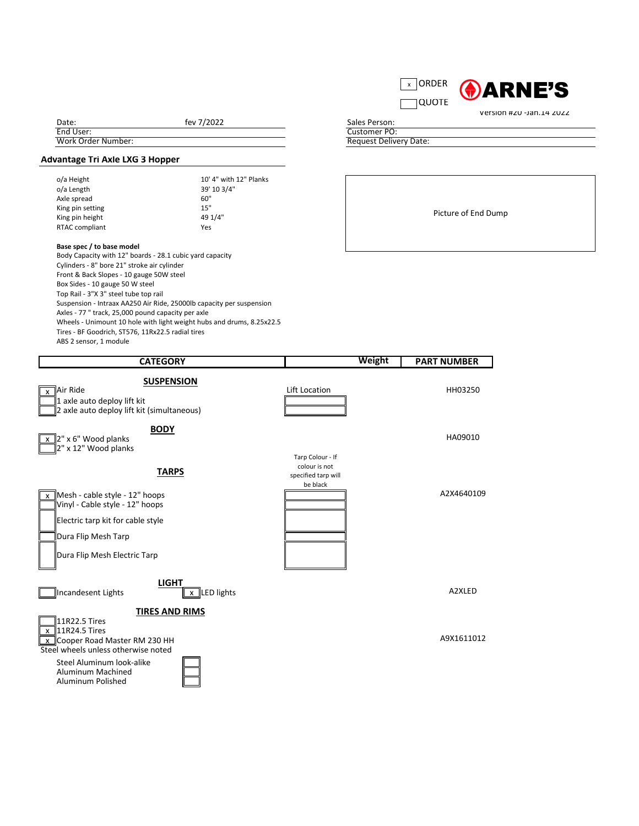## **Advantage Tri Axle LXG 3 Hopper**

| o/a Height            | 10' 4" with 12" Planks |  |  |
|-----------------------|------------------------|--|--|
| o/a Length            | 39' 10 3/4"            |  |  |
| Axle spread           | 60"                    |  |  |
| King pin setting      | 15"                    |  |  |
| King pin height       | 49 1/4"                |  |  |
| <b>RTAC compliant</b> | Yes                    |  |  |

## **Base spec / to base model**

Body Capacity with 12" boards - 28.1 cubic yard capacity Cylinders - 8" bore 21" stroke air cylinder Front & Back Slopes - 10 gauge 50W steel Box Sides - 10 gauge 50 W steel Top Rail - 3"X 3" steel tube top rail Suspension - Intraax AA250 Air Ride, 25000lb capacity per suspension Axles - 77 " track, 25,000 pound capacity per axle Wheels - Unimount 10 hole with light weight hubs and drums, 8.25x22.5 Tires - BF Goodrich, ST576, 11Rx22.5 radial tires ABS 2 sensor, 1 module

11R22.5 Tires  $x$  11R24.5 Tires  $\overline{\text{X}}$  Cooper Road Master RM 230 HH  $\overline{\text{X}}$  Cooper Road Master RM 230 HH Steel wheels unless otherwise noted

Date: End User: Work Order Number: fev 7/2022

| <b>RDER</b> | <b>GARNE'S</b>           |
|-------------|--------------------------|
|             |                          |
|             | Version #20 -Jan.14 2022 |

| <b>CATEGORY</b>                                                                                                 | <b>Weight</b>                                                        | <b>PART NUMBER</b> |
|-----------------------------------------------------------------------------------------------------------------|----------------------------------------------------------------------|--------------------|
| <b>SUSPENSION</b><br>Air Ride<br>X<br>1 axle auto deploy lift kit<br>2 axle auto deploy lift kit (simultaneous) | Lift Location                                                        | HH03250            |
| <b>BODY</b><br>$\left\ 2\right\ $ x 6" Wood planks<br>$\left\ 2\right\ $ x 12" Wood planks                      |                                                                      | HA09010            |
| <b>TARPS</b>                                                                                                    | Tarp Colour - If<br>colour is not<br>specified tarp will<br>be black |                    |
| $Mesh - cable style - 12"$ hoops<br>Vinyl - Cable style - 12" hoops                                             |                                                                      | A2X4640109         |
| Electric tarp kit for cable style                                                                               |                                                                      |                    |
| Dura Flip Mesh Tarp                                                                                             |                                                                      |                    |
| Dura Flip Mesh Electric Tarp                                                                                    |                                                                      |                    |





Steel Aluminum look-alike Aluminum Machined Aluminum Polished



## **TIRES AND RIMS**

Customer PO: Sales Person:

Request Delivery Date: